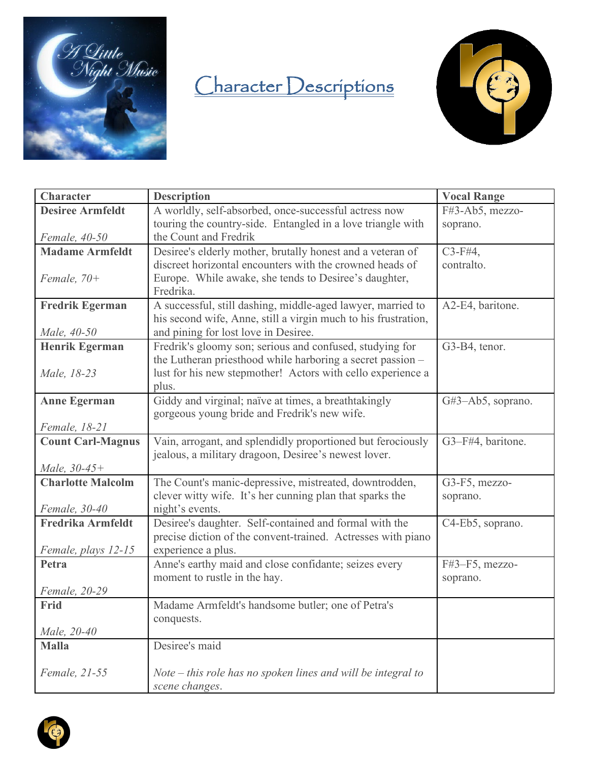

## Character Descriptions



| <b>Character</b>                         | <b>Description</b>                                                                                                            | <b>Vocal Range</b>     |
|------------------------------------------|-------------------------------------------------------------------------------------------------------------------------------|------------------------|
| <b>Desiree Armfeldt</b>                  | A worldly, self-absorbed, once-successful actress now                                                                         | F#3-Ab5, mezzo-        |
|                                          | touring the country-side. Entangled in a love triangle with                                                                   | soprano.               |
| Female, 40-50                            | the Count and Fredrik                                                                                                         |                        |
| <b>Madame Armfeldt</b>                   | Desiree's elderly mother, brutally honest and a veteran of                                                                    | $C3$ -F#4,             |
|                                          | discreet horizontal encounters with the crowned heads of                                                                      | contralto.             |
| Female, $70+$                            | Europe. While awake, she tends to Desiree's daughter,<br>Fredrika.                                                            |                        |
|                                          |                                                                                                                               |                        |
| <b>Fredrik Egerman</b>                   | A successful, still dashing, middle-aged lawyer, married to<br>his second wife, Anne, still a virgin much to his frustration, | A2-E4, baritone.       |
| Male, 40-50                              | and pining for lost love in Desiree.                                                                                          |                        |
| <b>Henrik Egerman</b>                    | Fredrik's gloomy son; serious and confused, studying for                                                                      | G3-B4, tenor.          |
|                                          | the Lutheran priesthood while harboring a secret passion -                                                                    |                        |
| Male, 18-23                              | lust for his new stepmother! Actors with cello experience a                                                                   |                        |
|                                          | plus.                                                                                                                         |                        |
| <b>Anne Egerman</b>                      | Giddy and virginal; naïve at times, a breathtakingly                                                                          | $G#3 - Ab5$ , soprano. |
|                                          | gorgeous young bride and Fredrik's new wife.                                                                                  |                        |
| Female, 18-21                            |                                                                                                                               |                        |
| <b>Count Carl-Magnus</b>                 | Vain, arrogant, and splendidly proportioned but ferociously                                                                   | G3-F#4, baritone.      |
|                                          | jealous, a military dragoon, Desiree's newest lover.                                                                          |                        |
| Male, 30-45+<br><b>Charlotte Malcolm</b> | The Count's manic-depressive, mistreated, downtrodden,                                                                        | G3-F5, mezzo-          |
|                                          | clever witty wife. It's her cunning plan that sparks the                                                                      | soprano.               |
| Female, 30-40                            | night's events.                                                                                                               |                        |
| <b>Fredrika Armfeldt</b>                 | Desiree's daughter. Self-contained and formal with the                                                                        | C4-Eb5, soprano.       |
|                                          | precise diction of the convent-trained. Actresses with piano                                                                  |                        |
| Female, plays 12-15                      | experience a plus.                                                                                                            |                        |
| Petra                                    | Anne's earthy maid and close confidante; seizes every                                                                         | F#3-F5, mezzo-         |
|                                          | moment to rustle in the hay.                                                                                                  | soprano.               |
| Female, 20-29                            |                                                                                                                               |                        |
| Frid                                     | Madame Armfeldt's handsome butler; one of Petra's                                                                             |                        |
| Male, 20-40                              | conquests.                                                                                                                    |                        |
| <b>Malla</b>                             | Desiree's maid                                                                                                                |                        |
|                                          |                                                                                                                               |                        |
| Female, 21-55                            | $Note - this role has no spoken lines and will be integral to$                                                                |                        |
|                                          | scene changes.                                                                                                                |                        |